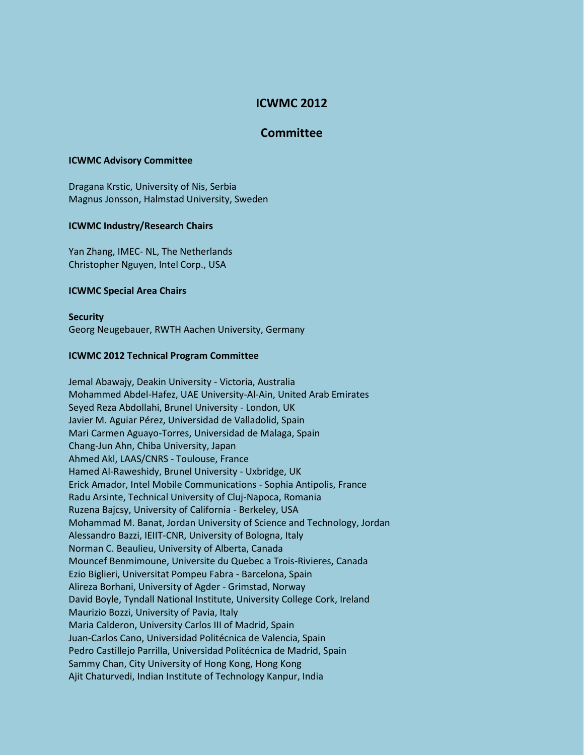# **ICWMC 2012**

# **Committee**

## **ICWMC Advisory Committee**

Dragana Krstic, University of Nis, Serbia Magnus Jonsson, Halmstad University, Sweden

# **ICWMC Industry/Research Chairs**

Yan Zhang, IMEC- NL, The Netherlands Christopher Nguyen, Intel Corp., USA

## **ICWMC Special Area Chairs**

**Security** Georg Neugebauer, RWTH Aachen University, Germany

## **ICWMC 2012 Technical Program Committee**

Jemal Abawajy, Deakin University - Victoria, Australia Mohammed Abdel-Hafez, UAE University-Al-Ain, United Arab Emirates Seyed Reza Abdollahi, Brunel University - London, UK Javier M. Aguiar Pérez, Universidad de Valladolid, Spain Mari Carmen Aguayo-Torres, Universidad de Malaga, Spain Chang-Jun Ahn, Chiba University, Japan Ahmed Akl, LAAS/CNRS - Toulouse, France Hamed Al-Raweshidy, Brunel University - Uxbridge, UK Erick Amador, Intel Mobile Communications - Sophia Antipolis, France Radu Arsinte, Technical University of Cluj-Napoca, Romania Ruzena Bajcsy, University of California - Berkeley, USA Mohammad M. Banat, Jordan University of Science and Technology, Jordan Alessandro Bazzi, IEIIT-CNR, University of Bologna, Italy Norman C. Beaulieu, University of Alberta, Canada Mouncef Benmimoune, Universite du Quebec a Trois-Rivieres, Canada Ezio Biglieri, Universitat Pompeu Fabra - Barcelona, Spain Alireza Borhani, University of Agder - Grimstad, Norway David Boyle, Tyndall National Institute, University College Cork, Ireland Maurizio Bozzi, University of Pavia, Italy Maria Calderon, University Carlos III of Madrid, Spain Juan-Carlos Cano, Universidad Politécnica de Valencia, Spain Pedro Castillejo Parrilla, Universidad Politécnica de Madrid, Spain Sammy Chan, City University of Hong Kong, Hong Kong Ajit Chaturvedi, Indian Institute of Technology Kanpur, India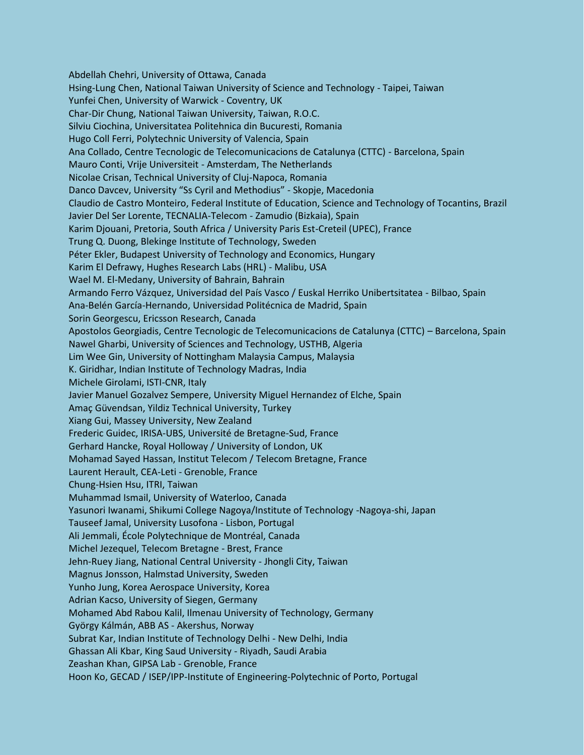Abdellah Chehri, University of Ottawa, Canada Hsing-Lung Chen, National Taiwan University of Science and Technology - Taipei, Taiwan Yunfei Chen, University of Warwick - Coventry, UK Char-Dir Chung, National Taiwan University, Taiwan, R.O.C. Silviu Ciochina, Universitatea Politehnica din Bucuresti, Romania Hugo Coll Ferri, Polytechnic University of Valencia, Spain Ana Collado, Centre Tecnologic de Telecomunicacions de Catalunya (CTTC) - Barcelona, Spain Mauro Conti, Vrije Universiteit - Amsterdam, The Netherlands Nicolae Crisan, Technical University of Cluj-Napoca, Romania Danco Davcev, University "Ss Cyril and Methodius" - Skopje, Macedonia Claudio de Castro Monteiro, Federal Institute of Education, Science and Technology of Tocantins, Brazil Javier Del Ser Lorente, TECNALIA-Telecom - Zamudio (Bizkaia), Spain Karim Djouani, Pretoria, South Africa / University Paris Est-Creteil (UPEC), France Trung Q. Duong, Blekinge Institute of Technology, Sweden Péter Ekler, Budapest University of Technology and Economics, Hungary Karim El Defrawy, Hughes Research Labs (HRL) - Malibu, USA Wael M. El-Medany, University of Bahrain, Bahrain Armando Ferro Vázquez, Universidad del País Vasco / Euskal Herriko Unibertsitatea - Bilbao, Spain Ana-Belén García-Hernando, Universidad Politécnica de Madrid, Spain Sorin Georgescu, Ericsson Research, Canada Apostolos Georgiadis, Centre Tecnologic de Telecomunicacions de Catalunya (CTTC) – Barcelona, Spain Nawel Gharbi, University of Sciences and Technology, USTHB, Algeria Lim Wee Gin, University of Nottingham Malaysia Campus, Malaysia K. Giridhar, Indian Institute of Technology Madras, India Michele Girolami, ISTI-CNR, Italy Javier Manuel Gozalvez Sempere, University Miguel Hernandez of Elche, Spain Amaç Güvendsan, Yildiz Technical University, Turkey Xiang Gui, Massey University, New Zealand Frederic Guidec, IRISA-UBS, Université de Bretagne-Sud, France Gerhard Hancke, Royal Holloway / University of London, UK Mohamad Sayed Hassan, Institut Telecom / Telecom Bretagne, France Laurent Herault, CEA-Leti - Grenoble, France Chung-Hsien Hsu, ITRI, Taiwan Muhammad Ismail, University of Waterloo, Canada Yasunori Iwanami, Shikumi College Nagoya/Institute of Technology -Nagoya-shi, Japan Tauseef Jamal, University Lusofona - Lisbon, Portugal Ali Jemmali, École Polytechnique de Montréal, Canada Michel Jezequel, Telecom Bretagne - Brest, France Jehn-Ruey Jiang, National Central University - Jhongli City, Taiwan Magnus Jonsson, Halmstad University, Sweden Yunho Jung, Korea Aerospace University, Korea Adrian Kacso, University of Siegen, Germany Mohamed Abd Rabou Kalil, Ilmenau University of Technology, Germany György Kálmán, ABB AS - Akershus, Norway Subrat Kar, Indian Institute of Technology Delhi - New Delhi, India Ghassan Ali Kbar, King Saud University - Riyadh, Saudi Arabia Zeashan Khan, GIPSA Lab - Grenoble, France Hoon Ko, GECAD / ISEP/IPP-Institute of Engineering-Polytechnic of Porto, Portugal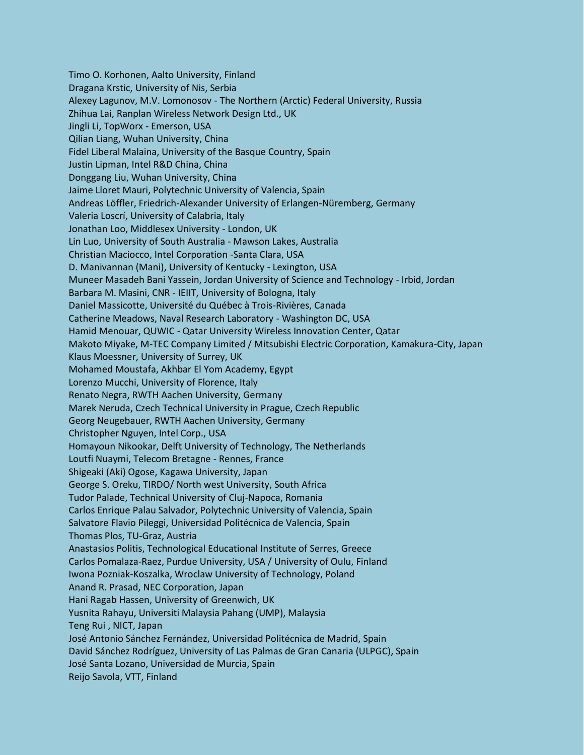Timo O. Korhonen, Aalto University, Finland Dragana Krstic, University of Nis, Serbia Alexey Lagunov, M.V. Lomonosov - The Northern (Arctic) Federal University, Russia Zhihua Lai, Ranplan Wireless Network Design Ltd., UK Jingli Li, TopWorx - Emerson, USA Qilian Liang, Wuhan University, China Fidel Liberal Malaina, University of the Basque Country, Spain Justin Lipman, Intel R&D China, China Donggang Liu, Wuhan University, China Jaime Lloret Mauri, Polytechnic University of Valencia, Spain Andreas Löffler, Friedrich-Alexander University of Erlangen-Nüremberg, Germany Valeria Loscrí, University of Calabria, Italy Jonathan Loo, Middlesex University - London, UK Lin Luo, University of South Australia - Mawson Lakes, Australia Christian Maciocco, Intel Corporation -Santa Clara, USA D. Manivannan (Mani), University of Kentucky - Lexington, USA Muneer Masadeh Bani Yassein, Jordan University of Science and Technology - Irbid, Jordan Barbara M. Masini, CNR - IEIIT, University of Bologna, Italy Daniel Massicotte, Université du Québec à Trois-Rivières, Canada Catherine Meadows, Naval Research Laboratory - Washington DC, USA Hamid Menouar, QUWIC - Qatar University Wireless Innovation Center, Qatar Makoto Miyake, M-TEC Company Limited / Mitsubishi Electric Corporation, Kamakura-City, Japan Klaus Moessner, University of Surrey, UK Mohamed Moustafa, Akhbar El Yom Academy, Egypt Lorenzo Mucchi, University of Florence, Italy Renato Negra, RWTH Aachen University, Germany Marek Neruda, Czech Technical University in Prague, Czech Republic Georg Neugebauer, RWTH Aachen University, Germany Christopher Nguyen, Intel Corp., USA Homayoun Nikookar, Delft University of Technology, The Netherlands Loutfi Nuaymi, Telecom Bretagne - Rennes, France Shigeaki (Aki) Ogose, Kagawa University, Japan George S. Oreku, TIRDO/ North west University, South Africa Tudor Palade, Technical University of Cluj-Napoca, Romania Carlos Enrique Palau Salvador, Polytechnic University of Valencia, Spain Salvatore Flavio Pileggi, Universidad Politécnica de Valencia, Spain Thomas Plos, TU-Graz, Austria Anastasios Politis, Technological Educational Institute of Serres, Greece Carlos Pomalaza-Raez, Purdue University, USA / University of Oulu, Finland Iwona Pozniak-Koszalka, Wroclaw University of Technology, Poland Anand R. Prasad, NEC Corporation, Japan Hani Ragab Hassen, University of Greenwich, UK Yusnita Rahayu, Universiti Malaysia Pahang (UMP), Malaysia Teng Rui , NICT, Japan José Antonio Sánchez Fernández, Universidad Politécnica de Madrid, Spain David Sánchez Rodríguez, University of Las Palmas de Gran Canaria (ULPGC), Spain José Santa Lozano, Universidad de Murcia, Spain Reijo Savola, VTT, Finland